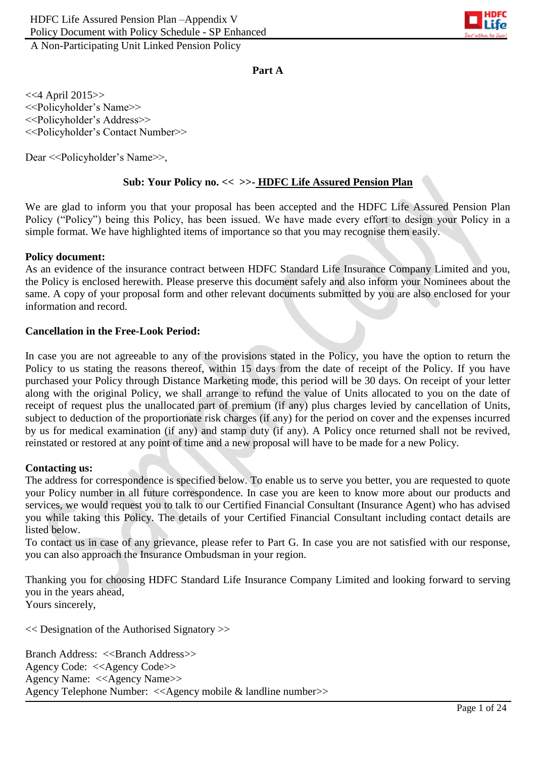

**Part A**

<<4 April 2015>> <<Policyholder's Name>> <<Policyholder's Address>> <<Policyholder's Contact Number>>

Dear <<Policyholder's Name>>,

#### **Sub: Your Policy no. << >>- HDFC Life Assured Pension Plan**

We are glad to inform you that your proposal has been accepted and the HDFC Life Assured Pension Plan Policy ("Policy") being this Policy, has been issued. We have made every effort to design your Policy in a simple format. We have highlighted items of importance so that you may recognise them easily.

#### **Policy document:**

As an evidence of the insurance contract between HDFC Standard Life Insurance Company Limited and you, the Policy is enclosed herewith. Please preserve this document safely and also inform your Nominees about the same. A copy of your proposal form and other relevant documents submitted by you are also enclosed for your information and record.

#### **Cancellation in the Free-Look Period:**

In case you are not agreeable to any of the provisions stated in the Policy, you have the option to return the Policy to us stating the reasons thereof, within 15 days from the date of receipt of the Policy. If you have purchased your Policy through Distance Marketing mode, this period will be 30 days. On receipt of your letter along with the original Policy, we shall arrange to refund the value of Units allocated to you on the date of receipt of request plus the unallocated part of premium (if any) plus charges levied by cancellation of Units, subject to deduction of the proportionate risk charges (if any) for the period on cover and the expenses incurred by us for medical examination (if any) and stamp duty (if any). A Policy once returned shall not be revived, reinstated or restored at any point of time and a new proposal will have to be made for a new Policy.

#### **Contacting us:**

The address for correspondence is specified below. To enable us to serve you better, you are requested to quote your Policy number in all future correspondence. In case you are keen to know more about our products and services, we would request you to talk to our Certified Financial Consultant (Insurance Agent) who has advised you while taking this Policy. The details of your Certified Financial Consultant including contact details are listed below.

To contact us in case of any grievance, please refer to Part G. In case you are not satisfied with our response, you can also approach the Insurance Ombudsman in your region.

Thanking you for choosing HDFC Standard Life Insurance Company Limited and looking forward to serving you in the years ahead, Yours sincerely,

<< Designation of the Authorised Signatory >>

Branch Address: <<Branch Address>> Agency Code: <<Agency Code>> Agency Name: <<Agency Name>> Agency Telephone Number: <<Agency mobile & landline number>>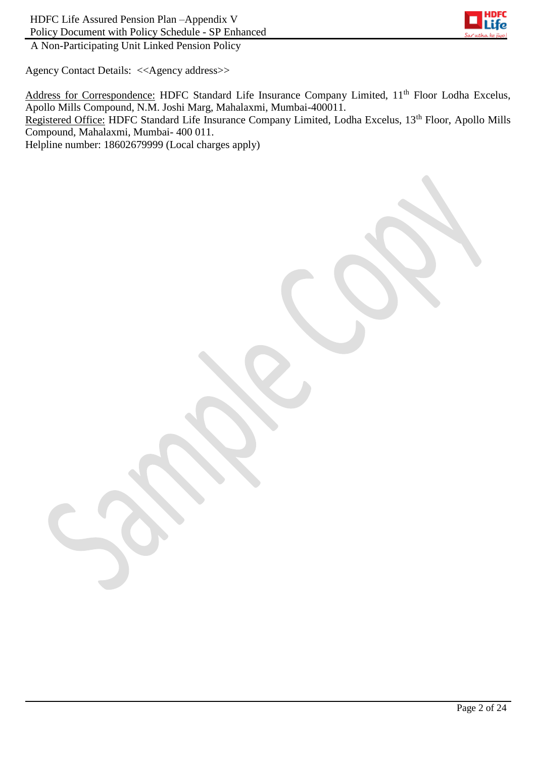

Agency Contact Details: <<Agency address>>

Address for Correspondence: HDFC Standard Life Insurance Company Limited, 11<sup>th</sup> Floor Lodha Excelus, Apollo Mills Compound, N.M. Joshi Marg, Mahalaxmi, Mumbai-400011. Registered Office: HDFC Standard Life Insurance Company Limited, Lodha Excelus, 13<sup>th</sup> Floor, Apollo Mills Compound, Mahalaxmi, Mumbai- 400 011. Helpline number: 18602679999 (Local charges apply)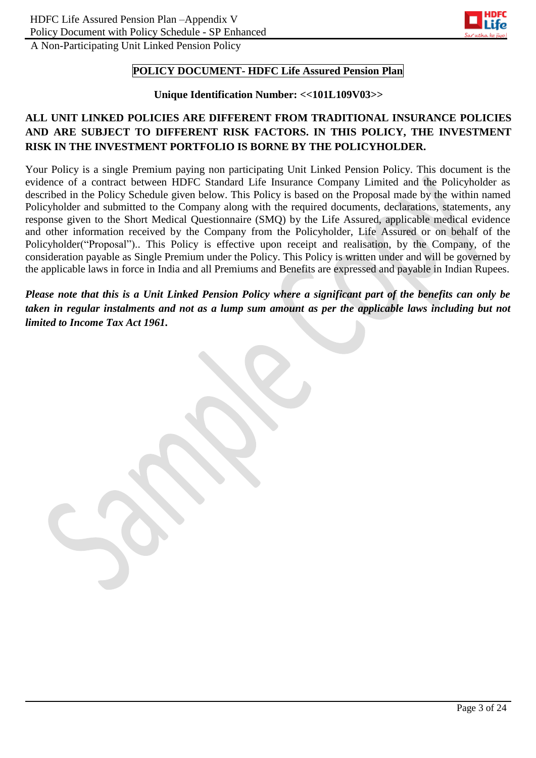

#### **POLICY DOCUMENT- HDFC Life Assured Pension Plan**

#### **Unique Identification Number: <<101L109V03>>**

# **ALL UNIT LINKED POLICIES ARE DIFFERENT FROM TRADITIONAL INSURANCE POLICIES AND ARE SUBJECT TO DIFFERENT RISK FACTORS. IN THIS POLICY, THE INVESTMENT RISK IN THE INVESTMENT PORTFOLIO IS BORNE BY THE POLICYHOLDER.**

Your Policy is a single Premium paying non participating Unit Linked Pension Policy. This document is the evidence of a contract between HDFC Standard Life Insurance Company Limited and the Policyholder as described in the Policy Schedule given below. This Policy is based on the Proposal made by the within named Policyholder and submitted to the Company along with the required documents, declarations, statements, any response given to the Short Medical Questionnaire (SMQ) by the Life Assured, applicable medical evidence and other information received by the Company from the Policyholder, Life Assured or on behalf of the Policyholder("Proposal").. This Policy is effective upon receipt and realisation, by the Company, of the consideration payable as Single Premium under the Policy. This Policy is written under and will be governed by the applicable laws in force in India and all Premiums and Benefits are expressed and payable in Indian Rupees.

*Please note that this is a Unit Linked Pension Policy where a significant part of the benefits can only be taken in regular instalments and not as a lump sum amount as per the applicable laws including but not limited to Income Tax Act 1961.*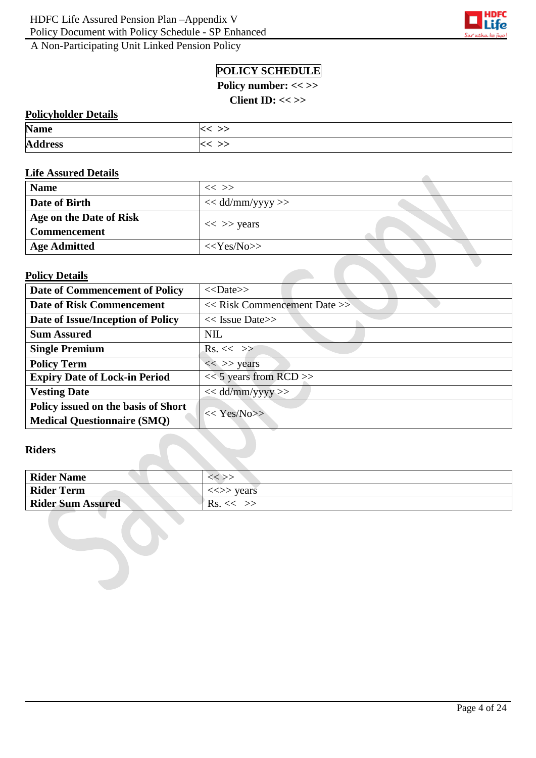

# **POLICY SCHEDULE**

Policy number: << >>

**Client ID: << >>**

## **Policyholder Details**

| <b>Name</b>    | $\widetilde{\phantom{a}}$ |
|----------------|---------------------------|
| <b>Address</b> | >>                        |

#### **Life Assured Details**

| <b>Name</b>                                    | $<<$ $>>$          |  |
|------------------------------------------------|--------------------|--|
| Date of Birth                                  | $<<$ dd/mm/yyyy >> |  |
| Age on the Date of Risk<br><b>Commencement</b> | $<<$ >> years      |  |
| <b>Age Admitted</b>                            | $<<$ Yes/No>>      |  |

#### **Policy Details**

| Date of Commencement of Policy       | $<<$ Date>>                      |  |
|--------------------------------------|----------------------------------|--|
| <b>Date of Risk Commencement</b>     | $<<$ Risk Commencement Date $>>$ |  |
| Date of Issue/Inception of Policy    | $<<$ Issue Date>>                |  |
| <b>Sum Assured</b>                   | <b>NIL</b>                       |  |
| <b>Single Premium</b>                | $\text{Rs.}<<\gg$                |  |
| <b>Policy Term</b>                   | $<<$ >> years                    |  |
| <b>Expiry Date of Lock-in Period</b> | $<< 5$ years from RCD >>         |  |
| <b>Vesting Date</b>                  | $<<$ dd/mm/yyyy>>                |  |
| Policy issued on the basis of Short  | $<< \text{Yes/N0}>>$             |  |
| <b>Medical Questionnaire (SMQ)</b>   |                                  |  |

## **Riders**

| <b>Rider Name</b>        | $<<$ $>>$                               |
|--------------------------|-----------------------------------------|
| <b>Rider Term</b>        | $\langle \langle \rangle \rangle$ vears |
| <b>Rider Sum Assured</b> | $RS, \ll \gg$                           |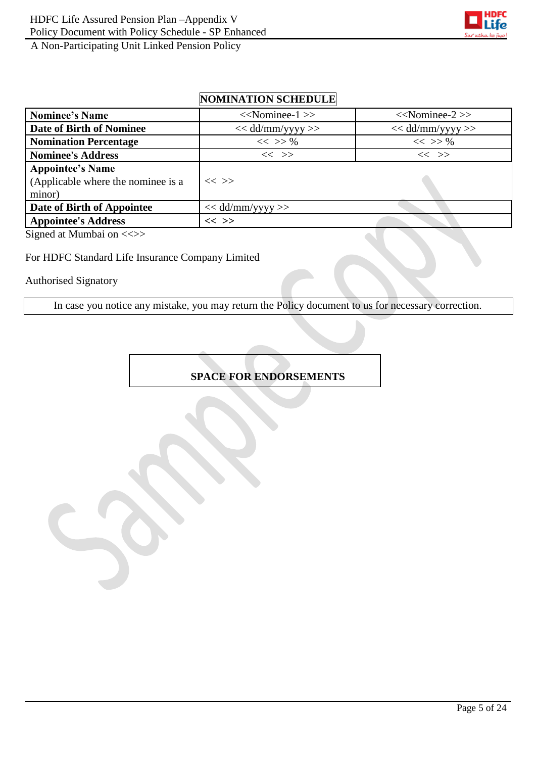

# **NOMINATION SCHEDULE**

| <b>Nominee's Name</b>                                                   | $<<$ Nominee-1 $>>$  | $<<$ Nominee-2>>   |
|-------------------------------------------------------------------------|----------------------|--------------------|
| Date of Birth of Nominee                                                | $<<$ dd/mm/yyyy $>>$ | $<<$ dd/mm/yyyy >> |
| <b>Nomination Percentage</b>                                            | $<<$ >> %            | $<<$ >> %          |
| <b>Nominee's Address</b>                                                | $<<$ $>>$            | $<<$ $>>$          |
| <b>Appointee's Name</b><br>(Applicable where the nominee is a<br>minor) | $<<$ >>              |                    |
| Date of Birth of Appointee                                              | $<<$ dd/mm/yyyy >>   |                    |
| <b>Appointee's Address</b>                                              | $<<$ >>              |                    |

Signed at Mumbai on <<>>

#### For HDFC Standard Life Insurance Company Limited

Authorised Signatory

In case you notice any mistake, you may return the Policy document to us for necessary correction.

## **SPACE FOR ENDORSEMENTS**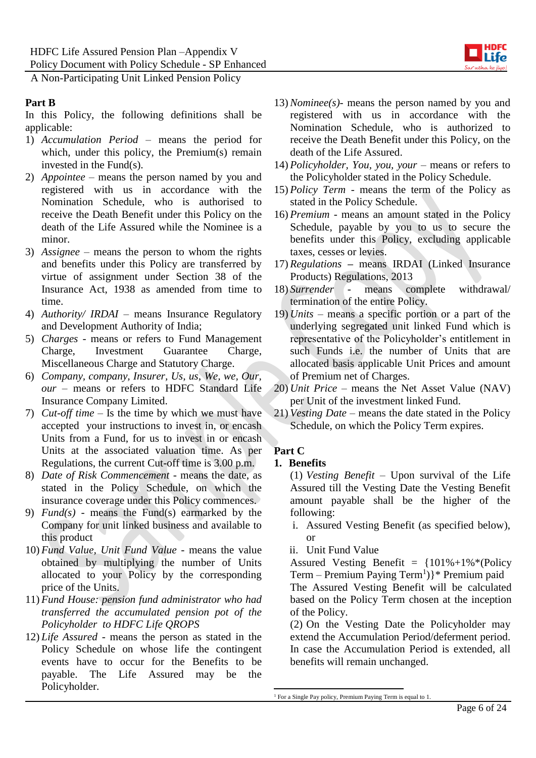

#### **Part B**

In this Policy, the following definitions shall be applicable:

- 1) *Accumulation Period* means the period for which, under this policy, the Premium(s) remain invested in the Fund(s).
- 2) *Appointee –* means the person named by you and registered with us in accordance with the Nomination Schedule, who is authorised to receive the Death Benefit under this Policy on the death of the Life Assured while the Nominee is a minor.
- 3) *Assignee*  means the person to whom the rights and benefits under this Policy are transferred by virtue of assignment under Section 38 of the Insurance Act, 1938 as amended from time to time.
- 4) *Authority/ IRDAI* means Insurance Regulatory and Development Authority of India;
- 5) *Charges -* means or refers to Fund Management Charge, Investment Guarantee Charge, Miscellaneous Charge and Statutory Charge.
- 6) *Company, company, Insurer, Us, us, We, we, Our, our* – means or refers to HDFC Standard Life Insurance Company Limited.
- 7) *Cut-off time*  Is the time by which we must have accepted your instructions to invest in, or encash Units from a Fund, for us to invest in or encash Units at the associated valuation time. As per Regulations, the current Cut-off time is 3.00 p.m.
- 8) *Date of Risk Commencement -* means the date, as stated in the Policy Schedule, on which the insurance coverage under this Policy commences.
- 9) *Fund(s)* means the Fund(s) earmarked by the Company for unit linked business and available to this product
- 10) *Fund Value, Unit Fund Value* means the value obtained by multiplying the number of Units allocated to your Policy by the corresponding price of the Units.
- 11) *Fund House: pension fund administrator who had transferred the accumulated pension pot of the Policyholder to HDFC Life QROPS*
- 12) *Life Assured* means the person as stated in the Policy Schedule on whose life the contingent events have to occur for the Benefits to be payable. The Life Assured may be the Policyholder.
- 13) *Nominee(s)-* means the person named by you and registered with us in accordance with the Nomination Schedule, who is authorized to receive the Death Benefit under this Policy, on the death of the Life Assured.
- 14) *Policyholder, You, you, your* means or refers to the Policyholder stated in the Policy Schedule.
- 15) *Policy Term*  means the term of the Policy as stated in the Policy Schedule.
- 16) *Premium* means an amount stated in the Policy Schedule, payable by you to us to secure the benefits under this Policy, excluding applicable taxes, cesses or levies.
- 17) *Regulations* **–** means IRDAI (Linked Insurance Products) Regulations, 2013
- 18) *Surrender* means complete withdrawal/ termination of the entire Policy.
- 19) *Units* means a specific portion or a part of the underlying segregated unit linked Fund which is representative of the Policyholder's entitlement in such Funds i.e. the number of Units that are allocated basis applicable Unit Prices and amount of Premium net of Charges.
- 20) *Unit Price* means the Net Asset Value (NAV) per Unit of the investment linked Fund.
- 21) *Vesting Date –* means the date stated in the Policy Schedule, on which the Policy Term expires.

# **Part C**

#### **1. Benefits**

(1) *Vesting Benefit –* Upon survival of the Life Assured till the Vesting Date the Vesting Benefit amount payable shall be the higher of the following:

- i. Assured Vesting Benefit (as specified below), or
- ii. Unit Fund Value

Assured Vesting Benefit =  ${101\% + 1\% * (Policy)}$ Term - Premium Paying Term<sup>1</sup>)}\* Premium paid The Assured Vesting Benefit will be calculated based on the Policy Term chosen at the inception of the Policy.

(2) On the Vesting Date the Policyholder may extend the Accumulation Period/deferment period. In case the Accumulation Period is extended, all benefits will remain unchanged.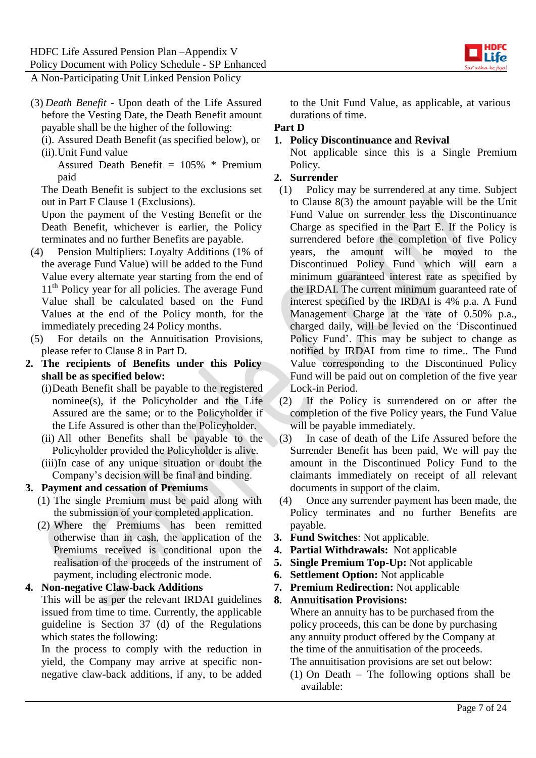

- (3) *Death Benefit* Upon death of the Life Assured before the Vesting Date, the Death Benefit amount payable shall be the higher of the following:
	- (i). Assured Death Benefit (as specified below), or
	- (ii).Unit Fund value

Assured Death Benefit  $= 105\%$  \* Premium paid

The Death Benefit is subject to the exclusions set out in Part F Clause 1 (Exclusions).

Upon the payment of the Vesting Benefit or the Death Benefit, whichever is earlier, the Policy terminates and no further Benefits are payable.

- (4) Pension Multipliers: Loyalty Additions (1% of the average Fund Value) will be added to the Fund Value every alternate year starting from the end of 11<sup>th</sup> Policy year for all policies. The average Fund Value shall be calculated based on the Fund Values at the end of the Policy month, for the immediately preceding 24 Policy months.
- (5) For details on the Annuitisation Provisions, please refer to Clause 8 in Part D.
- **2. The recipients of Benefits under this Policy shall be as specified below:**
	- (i)Death Benefit shall be payable to the registered nominee(s), if the Policyholder and the Life Assured are the same; or to the Policyholder if the Life Assured is other than the Policyholder.
	- (ii) All other Benefits shall be payable to the Policyholder provided the Policyholder is alive.
	- (iii)In case of any unique situation or doubt the Company's decision will be final and binding.

## **3. Payment and cessation of Premiums**

- (1) The single Premium must be paid along with the submission of your completed application.
- (2) Where the Premiums has been remitted otherwise than in cash, the application of the Premiums received is conditional upon the realisation of the proceeds of the instrument of payment, including electronic mode.

**4. Non-negative Claw-back Additions**

This will be as per the relevant IRDAI guidelines issued from time to time. Currently, the applicable guideline is Section 37 (d) of the Regulations which states the following:

In the process to comply with the reduction in yield, the Company may arrive at specific nonnegative claw-back additions, if any, to be added to the Unit Fund Value, as applicable, at various durations of time.

## **Part D**

## **1. Policy Discontinuance and Revival**

Not applicable since this is a Single Premium Policy.

## **2. Surrender**

- (1) Policy may be surrendered at any time. Subject to Clause 8(3) the amount payable will be the Unit Fund Value on surrender less the Discontinuance Charge as specified in the Part E. If the Policy is surrendered before the completion of five Policy years, the amount will be moved to the Discontinued Policy Fund which will earn a minimum guaranteed interest rate as specified by the IRDAI. The current minimum guaranteed rate of interest specified by the IRDAI is 4% p.a. A Fund Management Charge at the rate of 0.50% p.a., charged daily, will be levied on the 'Discontinued Policy Fund'. This may be subject to change as notified by IRDAI from time to time.. The Fund Value corresponding to the Discontinued Policy Fund will be paid out on completion of the five year Lock-in Period.
- (2) If the Policy is surrendered on or after the completion of the five Policy years, the Fund Value will be payable immediately.
- (3) In case of death of the Life Assured before the Surrender Benefit has been paid, We will pay the amount in the Discontinued Policy Fund to the claimants immediately on receipt of all relevant documents in support of the claim.
- (4) Once any surrender payment has been made, the Policy terminates and no further Benefits are payable.
- **3. Fund Switches**: Not applicable.
- **4. Partial Withdrawals:** Not applicable
- **5. Single Premium Top-Up:** Not applicable
- **6. Settlement Option:** Not applicable
- **7. Premium Redirection:** Not applicable

**8. Annuitisation Provisions:** Where an annuity has to be purchased from the policy proceeds, this can be done by purchasing any annuity product offered by the Company at the time of the annuitisation of the proceeds. The annuitisation provisions are set out below:

(1) On Death – The following options shall be available: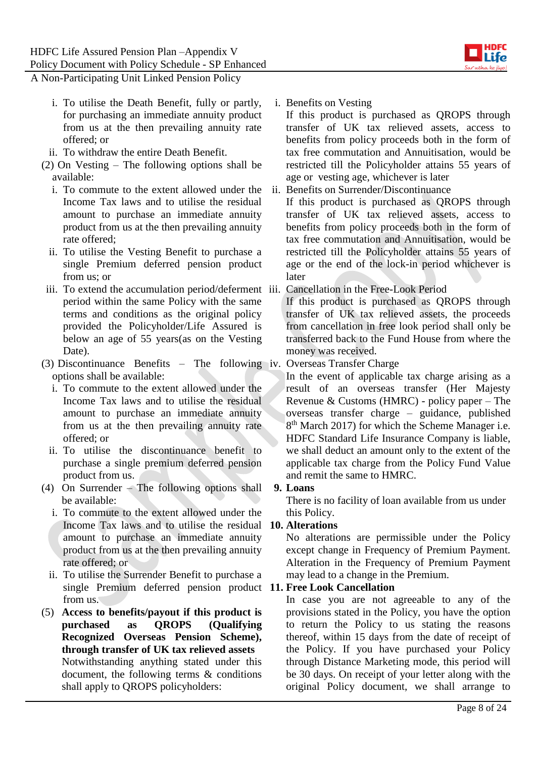

- i. To utilise the Death Benefit, fully or partly, for purchasing an immediate annuity product from us at the then prevailing annuity rate offered; or
- ii. To withdraw the entire Death Benefit.
- (2) On Vesting The following options shall be available:
	- i. To commute to the extent allowed under the Income Tax laws and to utilise the residual amount to purchase an immediate annuity product from us at the then prevailing annuity rate offered;
	- ii. To utilise the Vesting Benefit to purchase a single Premium deferred pension product from us; or
- iii. To extend the accumulation period/deferment iii. Cancellation in the Free-Look Period period within the same Policy with the same terms and conditions as the original policy provided the Policyholder/Life Assured is below an age of 55 years(as on the Vesting Date).
- (3) Discontinuance Benefits The following iv. Overseas Transfer Charge options shall be available:
	- i. To commute to the extent allowed under the Income Tax laws and to utilise the residual amount to purchase an immediate annuity from us at the then prevailing annuity rate offered; or
	- ii. To utilise the discontinuance benefit to purchase a single premium deferred pension product from us.
- (4) On Surrender The following options shall be available:
	- i. To commute to the extent allowed under the Income Tax laws and to utilise the residual amount to purchase an immediate annuity product from us at the then prevailing annuity rate offered; or
	- ii. To utilise the Surrender Benefit to purchase a single Premium deferred pension product **11. Free Look Cancellation**  from us.
- (5) **Access to benefits/payout if this product is purchased as QROPS (Qualifying Recognized Overseas Pension Scheme), through transfer of UK tax relieved assets** Notwithstanding anything stated under this document, the following terms & conditions shall apply to QROPS policyholders:

i. Benefits on Vesting

If this product is purchased as QROPS through transfer of UK tax relieved assets, access to benefits from policy proceeds both in the form of tax free commutation and Annuitisation, would be restricted till the Policyholder attains 55 years of age or vesting age, whichever is later

ii. Benefits on Surrender/Discontinuance

If this product is purchased as QROPS through transfer of UK tax relieved assets, access to benefits from policy proceeds both in the form of tax free commutation and Annuitisation, would be restricted till the Policyholder attains 55 years of age or the end of the lock-in period whichever is later

If this product is purchased as QROPS through transfer of UK tax relieved assets, the proceeds from cancellation in free look period shall only be transferred back to the Fund House from where the money was received.

In the event of applicable tax charge arising as a result of an overseas transfer (Her Majesty Revenue & Customs (HMRC) - policy paper – The overseas transfer charge – guidance, published 8<sup>th</sup> March 2017) for which the Scheme Manager i.e. HDFC Standard Life Insurance Company is liable, we shall deduct an amount only to the extent of the applicable tax charge from the Policy Fund Value and remit the same to HMRC.

#### **9. Loans**

There is no facility of loan available from us under this Policy.

## **10. Alterations**

No alterations are permissible under the Policy except change in Frequency of Premium Payment. Alteration in the Frequency of Premium Payment may lead to a change in the Premium.

In case you are not agreeable to any of the provisions stated in the Policy, you have the option to return the Policy to us stating the reasons thereof, within 15 days from the date of receipt of the Policy. If you have purchased your Policy through Distance Marketing mode, this period will be 30 days. On receipt of your letter along with the original Policy document, we shall arrange to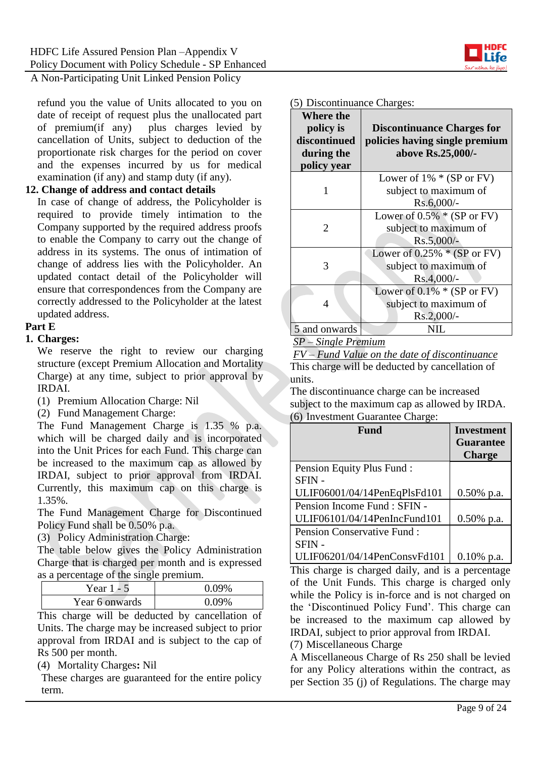

refund you the value of Units allocated to you on date of receipt of request plus the unallocated part of premium(if any) plus charges levied by cancellation of Units, subject to deduction of the proportionate risk charges for the period on cover and the expenses incurred by us for medical examination (if any) and stamp duty (if any).

#### **12. Change of address and contact details**

In case of change of address, the Policyholder is required to provide timely intimation to the Company supported by the required address proofs to enable the Company to carry out the change of address in its systems. The onus of intimation of change of address lies with the Policyholder. An updated contact detail of the Policyholder will ensure that correspondences from the Company are correctly addressed to the Policyholder at the latest updated address.

#### **Part E**

#### **1. Charges:**

We reserve the right to review our charging structure (except Premium Allocation and Mortality Charge) at any time, subject to prior approval by IRDAI.

- (1) Premium Allocation Charge: Nil
- (2) Fund Management Charge:

The Fund Management Charge is 1.35 % p.a. which will be charged daily and is incorporated into the Unit Prices for each Fund. This charge can be increased to the maximum cap as allowed by IRDAI, subject to prior approval from IRDAI. Currently, this maximum cap on this charge is 1.35%.

The Fund Management Charge for Discontinued Policy Fund shall be 0.50% p.a.

(3) Policy Administration Charge:

The table below gives the Policy Administration Charge that is charged per month and is expressed as a percentage of the single premium.

| Year 1 - 5     | $0.09\%$ |
|----------------|----------|
| Year 6 onwards | 0.09%    |

This charge will be deducted by cancellation of Units. The charge may be increased subject to prior approval from IRDAI and is subject to the cap of Rs 500 per month.

(4) Mortality Charges**:** Nil

These charges are guaranteed for the entire policy term.

#### (5) Discontinuance Charges:

| Where the<br>policy is<br>discontinued<br>during the<br>policy year | <b>Discontinuance Charges for</b><br>policies having single premium<br>above Rs.25,000/- |
|---------------------------------------------------------------------|------------------------------------------------------------------------------------------|
|                                                                     | Lower of $1\% * (SP or FV)$                                                              |
|                                                                     | subject to maximum of<br>Rs.6,000/-                                                      |
|                                                                     | Lower of $0.5\%$ * (SP or FV)                                                            |
| $\mathcal{D}_{\mathcal{L}}$                                         | subject to maximum of                                                                    |
|                                                                     | $Rs.5,000/-$                                                                             |
|                                                                     | Lower of $0.25\% * (SP or FV)$                                                           |
| 3                                                                   | subject to maximum of                                                                    |
|                                                                     | $Rs.4,000/-$                                                                             |
|                                                                     | Lower of $0.1\% * (SP or FV)$                                                            |
| 4                                                                   | subject to maximum of                                                                    |
|                                                                     | Rs.2,000/-                                                                               |
| 5 and onwards                                                       |                                                                                          |

#### *SP – Single Premium*

*FV – Fund Value on the date of discontinuance* This charge will be deducted by cancellation of units.

The discontinuance charge can be increased subject to the maximum cap as allowed by IRDA. (6) Investment Guarantee Charge:

| Fund                              | <b>Investment</b><br><b>Guarantee</b><br><b>Charge</b> |
|-----------------------------------|--------------------------------------------------------|
| Pension Equity Plus Fund:         |                                                        |
| SFIN-                             |                                                        |
| ULIF06001/04/14PenEqPlsFd101      | $0.50\%$ p.a.                                          |
| Pension Income Fund : SFIN -      |                                                        |
| ULIF06101/04/14PenIncFund101      | $0.50\%$ p.a.                                          |
| <b>Pension Conservative Fund:</b> |                                                        |
| <b>SFIN-</b>                      |                                                        |
| ULIF06201/04/14PenConsvFd101      | $0.10\%$ p.a.                                          |

This charge is charged daily, and is a percentage of the Unit Funds. This charge is charged only while the Policy is in-force and is not charged on the 'Discontinued Policy Fund'. This charge can be increased to the maximum cap allowed by IRDAI, subject to prior approval from IRDAI. (7) Miscellaneous Charge

A Miscellaneous Charge of Rs 250 shall be levied for any Policy alterations within the contract, as per Section 35 (j) of Regulations. The charge may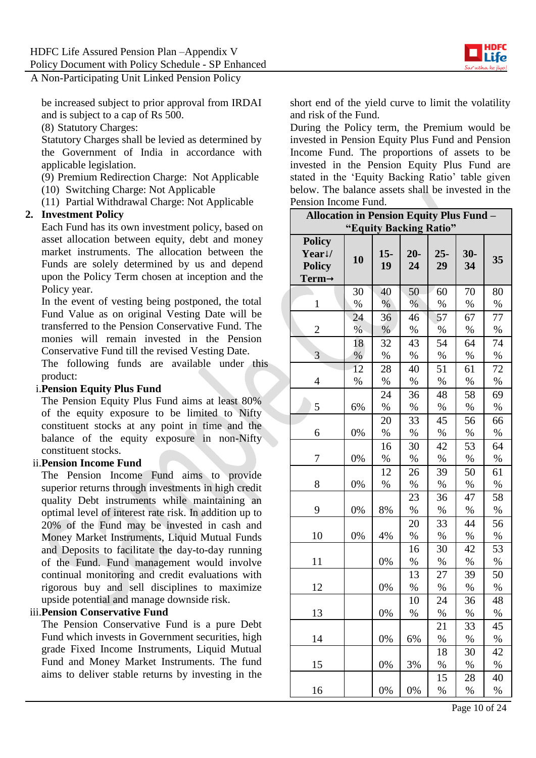be increased subject to prior approval from IRDAI and is subject to a cap of Rs 500.

(8) Statutory Charges:

Statutory Charges shall be levied as determined by the Government of India in accordance with applicable legislation.

(9) Premium Redirection Charge: Not Applicable

(10) Switching Charge: Not Applicable

(11) Partial Withdrawal Charge: Not Applicable

#### **2. Investment Policy**

Each Fund has its own investment policy, based on asset allocation between equity, debt and money market instruments. The allocation between the Funds are solely determined by us and depend upon the Policy Term chosen at inception and the Policy year.

In the event of vesting being postponed, the total Fund Value as on original Vesting Date will be transferred to the Pension Conservative Fund. The monies will remain invested in the Pension Conservative Fund till the revised Vesting Date.

The following funds are available under this product:

#### i.**Pension Equity Plus Fund**

The Pension Equity Plus Fund aims at least 80% of the equity exposure to be limited to Nifty constituent stocks at any point in time and the balance of the equity exposure in non-Nifty constituent stocks.

#### ii.**Pension Income Fund**

The Pension Income Fund aims to provide superior returns through investments in high credit quality Debt instruments while maintaining an optimal level of interest rate risk. In addition up to 20% of the Fund may be invested in cash and Money Market Instruments, Liquid Mutual Funds and Deposits to facilitate the day-to-day running of the Fund. Fund management would involve continual monitoring and credit evaluations with rigorous buy and sell disciplines to maximize upside potential and manage downside risk.

## iii.**Pension Conservative Fund**

The Pension Conservative Fund is a pure Debt Fund which invests in Government securities, high grade Fixed Income Instruments, Liquid Mutual Fund and Money Market Instruments. The fund aims to deliver stable returns by investing in the short end of the yield curve to limit the volatility and risk of the Fund.

During the Policy term, the Premium would be invested in Pension Equity Plus Fund and Pension Income Fund. The proportions of assets to be invested in the Pension Equity Plus Fund are stated in the 'Equity Backing Ratio' table given below. The balance assets shall be invested in the Pension Income Fund.

| <b>Allocation in Pension Equity Plus Fund -</b>                |      |             |             |              |             |      |
|----------------------------------------------------------------|------|-------------|-------------|--------------|-------------|------|
| "Equity Backing Ratio"                                         |      |             |             |              |             |      |
| <b>Policy</b><br>Year!/<br><b>Policy</b><br>Term $\rightarrow$ | 10   | $15-$<br>19 | $20-$<br>24 | $25 -$<br>29 | $30-$<br>34 | 35   |
|                                                                | 30   | 40          | 50          | 60           | 70          | 80   |
| $\mathbf{1}$                                                   | %    | $\%$        | %           | $\%$         | $\%$        | $\%$ |
|                                                                | 24   | 36          | 46          | 57           | 67          | 77   |
| $\overline{2}$                                                 | $\%$ | %           | $\%$        | $\%$         | $\%$        | $\%$ |
|                                                                | 18   | 32          | 43          | 54           | 64          | 74   |
| 3                                                              | $\%$ | %           | %           | %            | %           | %    |
|                                                                | 12   | 28          | 40          | 51           | 61          | 72   |
| 4                                                              | $\%$ | %           | $\%$        | $\%$         | $\%$        | $\%$ |
|                                                                |      | 24          | 36          | 48           | 58          | 69   |
| 5                                                              | 6%   | $\%$        | %           | $\%$         | %           | $\%$ |
|                                                                |      | 20          | 33          | 45           | 56          | 66   |
| 6                                                              | 0%   | $\%$        | $\%$        | $\%$         | $\%$        | $\%$ |
|                                                                |      | 16          | 30          | 42           | 53          | 64   |
| 7                                                              | 0%   | $\%$        | $\%$        | $\%$         | $\%$        | $\%$ |
|                                                                |      | 12          | 26          | 39           | 50          | 61   |
| 8                                                              | 0%   | $\%$        | $\%$        | $\%$         | %           | $\%$ |
|                                                                |      |             | 23          | 36           | 47          | 58   |
| 9                                                              | 0%   | 8%          | $\%$        | %            | %           | %    |
|                                                                |      |             | 20          | 33           | 44          | 56   |
| 10                                                             | 0%   | 4%          | $\%$        | %            | %           | %    |
|                                                                |      |             | 16          | 30           | 42          | 53   |
| 11                                                             |      | 0%          | $\%$        | $\%$         | %           | %    |
|                                                                |      |             | 13          | 27           | 39          | 50   |
| 12                                                             |      | 0%          | $\%$        | %            | $\%$        | $\%$ |
|                                                                |      |             | 10          | 24           | 36          | 48   |
| 13                                                             |      | 0%          | $\%$        | $\%$         | $\%$        | $\%$ |
|                                                                |      |             |             | 21           | 33          | 45   |
| 14                                                             |      | 0%          | 6%          | $\%$         | $\%$        | %    |
|                                                                |      |             |             | 18           | 30          | 42   |
| 15                                                             |      | 0%          | 3%          | $\%$         | $\%$        | $\%$ |
|                                                                |      |             |             | 15           | 28          | 40   |
| 16                                                             |      | 0%          | 0%          | $\%$         | $\%$        | $\%$ |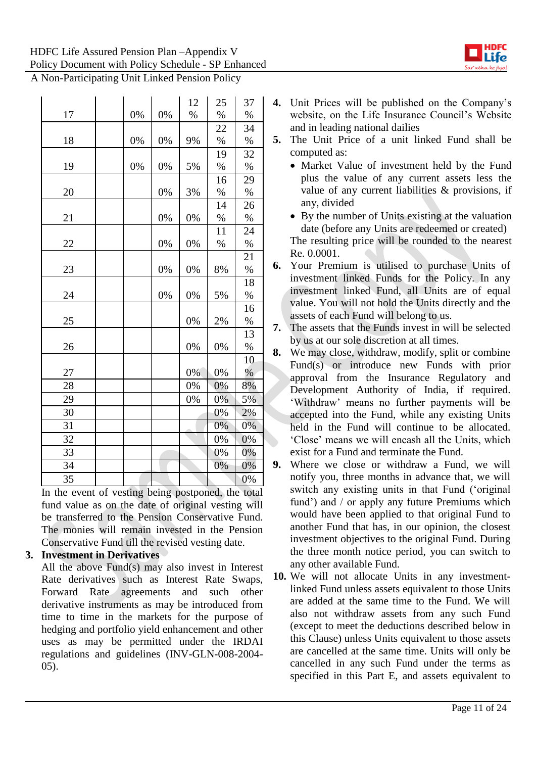

|    |       |    | 12 | 25   | 37            |
|----|-------|----|----|------|---------------|
| 17 | 0%    | 0% | %  | $\%$ | $\%$          |
|    |       |    |    | 22   | 34            |
| 18 | $0\%$ | 0% | 9% | $\%$ | %             |
|    |       |    |    | 19   | 32            |
| 19 | 0%    | 0% | 5% | $\%$ | $\%$          |
|    |       |    |    | 16   | 29            |
| 20 |       | 0% | 3% | $\%$ | $\%$          |
|    |       |    |    | 14   | 26            |
| 21 |       | 0% | 0% | $\%$ | $\%$          |
|    |       |    |    | 11   | 24            |
| 22 |       | 0% | 0% | %    | %             |
|    |       |    |    |      | 21            |
| 23 |       | 0% | 0% | 8%   | $\%$          |
|    |       |    |    |      | 18            |
| 24 |       | 0% | 0% | 5%   | %             |
|    |       |    |    |      | 16            |
| 25 |       |    | 0% | 2%   | $\%$          |
|    |       |    |    |      | 13            |
| 26 |       |    | 0% | 0%   | $\%$          |
|    |       |    |    |      | 10            |
| 27 |       |    | 0% | 0%   | $\frac{0}{0}$ |
| 28 |       |    | 0% | 0%   | 8%            |
| 29 |       |    | 0% | 0%   | 5%            |
| 30 |       |    |    | 0%   | 2%            |
| 31 |       |    |    | 0%   | 0%            |
| 32 |       |    |    | 0%   | 0%            |
| 33 |       |    |    | 0%   | 0%            |
| 34 |       |    |    | 0%   | 0%            |
| 35 |       |    |    |      | 0%            |

In the event of vesting being postponed, the total fund value as on the date of original vesting will be transferred to the Pension Conservative Fund. The monies will remain invested in the Pension Conservative Fund till the revised vesting date.

## **3. Investment in Derivatives**

All the above Fund(s) may also invest in Interest Rate derivatives such as Interest Rate Swaps, Forward Rate agreements and such other derivative instruments as may be introduced from time to time in the markets for the purpose of hedging and portfolio yield enhancement and other uses as may be permitted under the IRDAI regulations and guidelines (INV-GLN-008-2004- 05).

- **4.** Unit Prices will be published on the Company's website, on the Life Insurance Council's Website and in leading national dailies
- **5.** The Unit Price of a unit linked Fund shall be computed as:
	- Market Value of investment held by the Fund plus the value of any current assets less the value of any current liabilities & provisions, if any, divided
	- By the number of Units existing at the valuation date (before any Units are redeemed or created) The resulting price will be rounded to the nearest Re. 0.0001.
- **6.** Your Premium is utilised to purchase Units of investment linked Funds for the Policy. In any investment linked Fund, all Units are of equal value. You will not hold the Units directly and the assets of each Fund will belong to us.
- **7.** The assets that the Funds invest in will be selected by us at our sole discretion at all times.
- **8.** We may close, withdraw, modify, split or combine Fund(s) or introduce new Funds with prior approval from the Insurance Regulatory and Development Authority of India, if required. 'Withdraw' means no further payments will be accepted into the Fund, while any existing Units held in the Fund will continue to be allocated. 'Close' means we will encash all the Units, which exist for a Fund and terminate the Fund.
- **9.** Where we close or withdraw a Fund, we will notify you, three months in advance that, we will switch any existing units in that Fund ('original fund') and / or apply any future Premiums which would have been applied to that original Fund to another Fund that has, in our opinion, the closest investment objectives to the original Fund. During the three month notice period, you can switch to any other available Fund.
- **10.** We will not allocate Units in any investmentlinked Fund unless assets equivalent to those Units are added at the same time to the Fund. We will also not withdraw assets from any such Fund (except to meet the deductions described below in this Clause) unless Units equivalent to those assets are cancelled at the same time. Units will only be cancelled in any such Fund under the terms as specified in this Part E, and assets equivalent to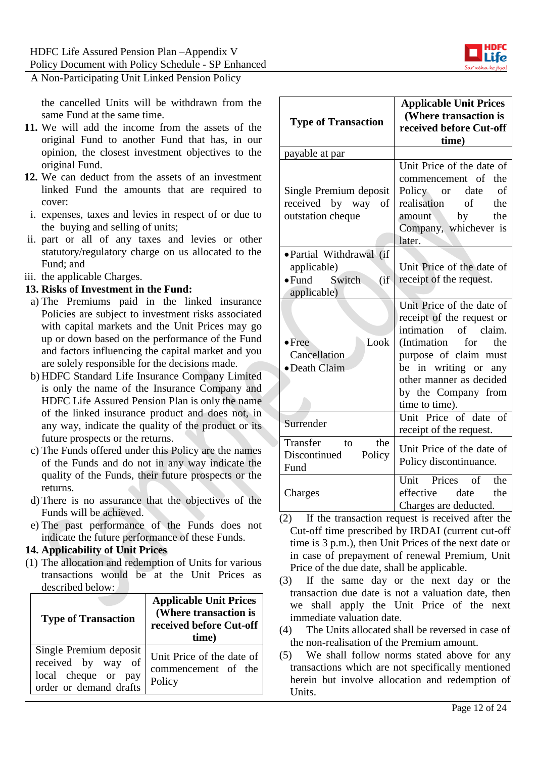

the cancelled Units will be withdrawn from the same Fund at the same time.

- **11.** We will add the income from the assets of the original Fund to another Fund that has, in our opinion, the closest investment objectives to the original Fund.
- **12.** We can deduct from the assets of an investment linked Fund the amounts that are required to cover:
- i. expenses, taxes and levies in respect of or due to the buying and selling of units;
- ii. part or all of any taxes and levies or other statutory/regulatory charge on us allocated to the Fund; and
- iii. the applicable Charges.

#### **13. Risks of Investment in the Fund:**

- a) The Premiums paid in the linked insurance Policies are subject to investment risks associated with capital markets and the Unit Prices may go up or down based on the performance of the Fund and factors influencing the capital market and you are solely responsible for the decisions made.
- b) HDFC Standard Life Insurance Company Limited is only the name of the Insurance Company and HDFC Life Assured Pension Plan is only the name of the linked insurance product and does not, in any way, indicate the quality of the product or its future prospects or the returns.
- c) The Funds offered under this Policy are the names of the Funds and do not in any way indicate the quality of the Funds, their future prospects or the returns.
- d) There is no assurance that the objectives of the Funds will be achieved.
- e) The past performance of the Funds does not indicate the future performance of these Funds.

#### **14. Applicability of Unit Prices**

(1) The allocation and redemption of Units for various transactions would be at the Unit Prices as described below:

| <b>Type of Transaction</b>                                                                    | <b>Applicable Unit Prices</b><br>(Where transaction is<br>received before Cut-off<br>time) |  |
|-----------------------------------------------------------------------------------------------|--------------------------------------------------------------------------------------------|--|
| Single Premium deposit<br>received by way of<br>local cheque or pay<br>order or demand drafts | Unit Price of the date of<br>commencement of the<br>Policy                                 |  |

| <b>Type of Transaction</b>                                                      | <b>Applicable Unit Prices</b><br>(Where transaction is<br>received before Cut-off<br>time)                                                                                                                                                                    |  |
|---------------------------------------------------------------------------------|---------------------------------------------------------------------------------------------------------------------------------------------------------------------------------------------------------------------------------------------------------------|--|
| payable at par                                                                  |                                                                                                                                                                                                                                                               |  |
| Single Premium deposit<br>received by way<br>οf<br>outstation cheque            | Unit Price of the date of<br>commencement of<br>the<br>Policy or date<br>оf<br>realisation<br>the<br>of<br>amount<br>by<br>the<br>Company, whichever is<br>later.                                                                                             |  |
| ·Partial Withdrawal (if<br>applicable)<br>• Fund Switch<br>(i f)<br>applicable) | Unit Price of the date of<br>receipt of the request.                                                                                                                                                                                                          |  |
| Look<br>$\bullet$ Free<br>Cancellation<br>• Death Claim                         | Unit Price of the date of<br>receipt of the request or<br>intimation<br>of claim.<br>(Intimation)<br>for<br>the<br>purpose of claim must<br>be in writing or any<br>other manner as decided<br>by the Company from<br>time to time).<br>Unit Price of date of |  |
| Surrender                                                                       | receipt of the request.                                                                                                                                                                                                                                       |  |
| Transfer<br>the<br>to<br>Discontinued<br>Policy<br>Fund                         | Unit Price of the date of<br>Policy discontinuance.                                                                                                                                                                                                           |  |
| Charges                                                                         | Unit Prices of<br>the<br>effective date<br>the<br>Charges are deducted.                                                                                                                                                                                       |  |

- (2) If the transaction request is received after the Cut-off time prescribed by IRDAI (current cut-off time is 3 p.m.), then Unit Prices of the next date or in case of prepayment of renewal Premium, Unit Price of the due date, shall be applicable.
- (3) If the same day or the next day or the transaction due date is not a valuation date, then we shall apply the Unit Price of the next immediate valuation date.
- (4) The Units allocated shall be reversed in case of the non-realisation of the Premium amount.
- (5) We shall follow norms stated above for any transactions which are not specifically mentioned herein but involve allocation and redemption of Units.

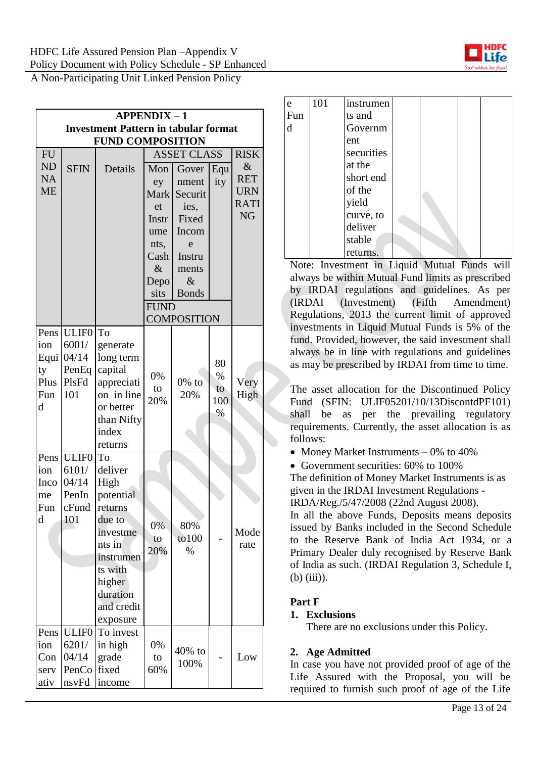| <b>APPENDIX-1</b>      |                                             |                |              |                    |     |                    |  |  |  |
|------------------------|---------------------------------------------|----------------|--------------|--------------------|-----|--------------------|--|--|--|
|                        | <b>Investment Pattern in tabular format</b> |                |              |                    |     |                    |  |  |  |
|                        | <b>FUND COMPOSITION</b>                     |                |              |                    |     |                    |  |  |  |
| <b>FU</b>              |                                             |                |              | <b>ASSET CLASS</b> |     | <b>RISK</b>        |  |  |  |
| <b>ND</b>              | <b>SFIN</b>                                 | Details        | Mon          | Gover              | Equ | $\&$<br><b>RET</b> |  |  |  |
| <b>NA</b><br><b>ME</b> |                                             |                | ey           | nment              | ity | <b>URN</b>         |  |  |  |
|                        |                                             |                | <b>Mark</b>  | Securit            |     | <b>RATI</b>        |  |  |  |
|                        |                                             |                | et           | ies,               |     | <b>NG</b>          |  |  |  |
|                        |                                             |                | Instr        | Fixed              |     |                    |  |  |  |
|                        |                                             |                | ume          | Incom<br>e         |     |                    |  |  |  |
|                        |                                             |                | nts,<br>Cash | Instru             |     |                    |  |  |  |
|                        |                                             |                | $\&$         | ments              |     |                    |  |  |  |
|                        |                                             |                | Depo         | $\&$               |     |                    |  |  |  |
|                        |                                             |                | sits         | <b>Bonds</b>       |     |                    |  |  |  |
|                        |                                             |                | <b>FUND</b>  |                    |     |                    |  |  |  |
|                        |                                             |                |              | <b>COMPOSITION</b> |     |                    |  |  |  |
| Pens                   | <b>ULIF0</b>                                | To             |              |                    |     |                    |  |  |  |
| ion                    | 6001/                                       | generate       |              |                    |     |                    |  |  |  |
| Equi                   | 04/14                                       | long term      |              |                    | 80  |                    |  |  |  |
| ty                     | PenEq                                       | capital        | 0%           |                    | %   |                    |  |  |  |
| Plus                   | PlsFd                                       | appreciati     | to           | $0\%$ to           | to  | Very               |  |  |  |
| Fun                    | 101                                         | on in line     | 20%          | 20%                | 100 | High               |  |  |  |
| d                      |                                             | or better      |              |                    | %   |                    |  |  |  |
|                        |                                             | than Nifty     |              |                    |     |                    |  |  |  |
|                        |                                             | index          |              |                    |     |                    |  |  |  |
|                        |                                             | returns        |              |                    |     |                    |  |  |  |
| Pens                   | ULIF <sub>0</sub><br>6101/                  | To<br>deliver  |              |                    |     |                    |  |  |  |
| ion<br>Inco            | 04/14                                       | High           |              |                    |     |                    |  |  |  |
| me                     | PenIn                                       | potential      |              |                    |     |                    |  |  |  |
| Fun                    | cFund                                       | returns        |              |                    |     |                    |  |  |  |
| d                      | 101                                         | due to         |              |                    |     |                    |  |  |  |
|                        |                                             | investme       | 0%           | 80%                |     | Mode               |  |  |  |
|                        |                                             | nts in         | to           | to 100             |     | rate               |  |  |  |
|                        |                                             | instrumen      | 20%          | $\%$               |     |                    |  |  |  |
|                        |                                             | ts with        |              |                    |     |                    |  |  |  |
|                        |                                             | higher         |              |                    |     |                    |  |  |  |
|                        |                                             | duration       |              |                    |     |                    |  |  |  |
|                        |                                             | and credit     |              |                    |     |                    |  |  |  |
|                        |                                             | exposure       |              |                    |     |                    |  |  |  |
| Pens                   | <b>ULIF0</b>                                | To invest      |              |                    |     |                    |  |  |  |
| ion                    | 6201/                                       | in high        | 0%           | 40% to             |     |                    |  |  |  |
| Con                    | 04/14<br>PenCo                              | grade<br>fixed | to<br>60%    | 100%               |     | Low                |  |  |  |
| serv<br>ativ           | nsvFd                                       | income         |              |                    |     |                    |  |  |  |
|                        |                                             |                |              |                    |     |                    |  |  |  |

| e   | 101 | instrumen  |  |  |
|-----|-----|------------|--|--|
| Fun |     | ts and     |  |  |
| d   |     | Governm    |  |  |
|     |     | ent        |  |  |
|     |     | securities |  |  |
|     |     | at the     |  |  |
|     |     | short end  |  |  |
|     |     | of the     |  |  |
|     |     | yield      |  |  |
|     |     | curve, to  |  |  |
|     |     | deliver    |  |  |
|     |     | stable     |  |  |
|     |     | returns.   |  |  |

Note: Investment in Liquid Mutual Funds will always be within Mutual Fund limits as prescribed by IRDAI regulations and guidelines. As per (IRDAI (Investment) (Fifth Amendment) Regulations, 2013 the current limit of approved investments in Liquid Mutual Funds is 5% of the fund. Provided, however, the said investment shall always be in line with regulations and guidelines as may be prescribed by IRDAI from time to time.

The asset allocation for the Discontinued Policy Fund (SFIN: ULIF05201/10/13DiscontdPF101) shall be as per the prevailing regulatory requirements. Currently, the asset allocation is as follows:

- Money Market Instruments  $-0\%$  to 40%
- Government securities: 60% to 100%

The definition of Money Market Instruments is as given in the IRDAI Investment Regulations -

IRDA/Reg./5/47/2008 (22nd August 2008).

In all the above Funds, Deposits means deposits issued by Banks included in the Second Schedule to the Reserve Bank of India Act 1934, or a Primary Dealer duly recognised by Reserve Bank of India as such. (IRDAI Regulation 3, Schedule I, (b) (iii)).

## **Part F**

## **1. Exclusions**

There are no exclusions under this Policy.

## **2. Age Admitted**

In case you have not provided proof of age of the Life Assured with the Proposal, you will be required to furnish such proof of age of the Life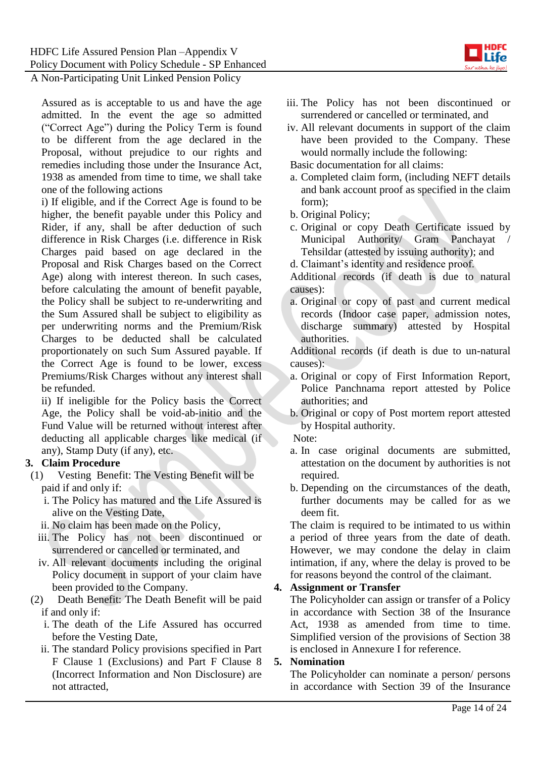

Assured as is acceptable to us and have the age admitted. In the event the age so admitted ("Correct Age") during the Policy Term is found to be different from the age declared in the Proposal, without prejudice to our rights and remedies including those under the Insurance Act, 1938 as amended from time to time, we shall take one of the following actions

i) If eligible, and if the Correct Age is found to be higher, the benefit payable under this Policy and Rider, if any, shall be after deduction of such difference in Risk Charges (i.e. difference in Risk Charges paid based on age declared in the Proposal and Risk Charges based on the Correct Age) along with interest thereon. In such cases, before calculating the amount of benefit payable, the Policy shall be subject to re-underwriting and the Sum Assured shall be subject to eligibility as per underwriting norms and the Premium/Risk Charges to be deducted shall be calculated proportionately on such Sum Assured payable. If the Correct Age is found to be lower, excess Premiums/Risk Charges without any interest shall be refunded.

ii) If ineligible for the Policy basis the Correct Age, the Policy shall be void-ab-initio and the Fund Value will be returned without interest after deducting all applicable charges like medical (if any), Stamp Duty (if any), etc.

#### **3. Claim Procedure**

- (1) Vesting Benefit: The Vesting Benefit will be paid if and only if:
	- i. The Policy has matured and the Life Assured is alive on the Vesting Date,
	- ii. No claim has been made on the Policy,
	- iii. The Policy has not been discontinued or surrendered or cancelled or terminated, and
	- iv. All relevant documents including the original Policy document in support of your claim have been provided to the Company.
- (2) Death Benefit: The Death Benefit will be paid if and only if:
	- i. The death of the Life Assured has occurred before the Vesting Date,
	- ii. The standard Policy provisions specified in Part F Clause 1 (Exclusions) and Part F Clause 8 (Incorrect Information and Non Disclosure) are not attracted,
- iii. The Policy has not been discontinued or surrendered or cancelled or terminated, and
- iv. All relevant documents in support of the claim have been provided to the Company. These would normally include the following:

Basic documentation for all claims:

- a. Completed claim form, (including NEFT details and bank account proof as specified in the claim form);
- b. Original Policy;
- c. Original or copy Death Certificate issued by Municipal Authority/ Gram Panchayat / Tehsildar (attested by issuing authority); and
- d. Claimant's identity and residence proof.

Additional records (if death is due to natural causes):

a. Original or copy of past and current medical records (Indoor case paper, admission notes, discharge summary) attested by Hospital authorities.

Additional records (if death is due to un-natural causes):

- a. Original or copy of First Information Report, Police Panchnama report attested by Police authorities; and
- b. Original or copy of Post mortem report attested by Hospital authority.

Note:

- a. In case original documents are submitted, attestation on the document by authorities is not required.
- b. Depending on the circumstances of the death, further documents may be called for as we deem fit.

The claim is required to be intimated to us within a period of three years from the date of death. However, we may condone the delay in claim intimation, if any, where the delay is proved to be for reasons beyond the control of the claimant.

## **4. Assignment or Transfer**

The Policyholder can assign or transfer of a Policy in accordance with Section 38 of the Insurance Act, 1938 as amended from time to time. Simplified version of the provisions of Section 38 is enclosed in Annexure I for reference.

#### **5. Nomination**

The Policyholder can nominate a person/ persons in accordance with Section 39 of the Insurance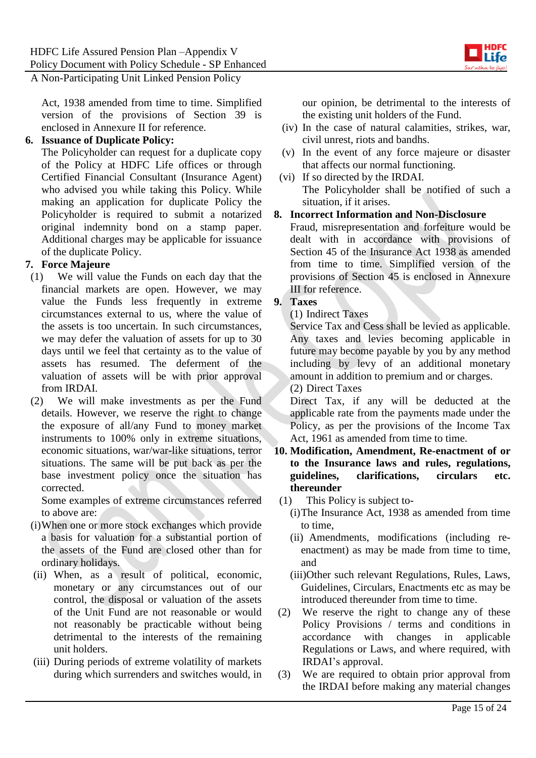

Act, 1938 amended from time to time. Simplified version of the provisions of Section 39 is enclosed in Annexure II for reference.

#### **6. Issuance of Duplicate Policy:**

The Policyholder can request for a duplicate copy of the Policy at HDFC Life offices or through Certified Financial Consultant (Insurance Agent) who advised you while taking this Policy. While making an application for duplicate Policy the Policyholder is required to submit a notarized original indemnity bond on a stamp paper. Additional charges may be applicable for issuance of the duplicate Policy.

## **7. Force Majeure**

- (1) We will value the Funds on each day that the financial markets are open. However, we may value the Funds less frequently in extreme circumstances external to us, where the value of the assets is too uncertain. In such circumstances, we may defer the valuation of assets for up to 30 days until we feel that certainty as to the value of assets has resumed. The deferment of the valuation of assets will be with prior approval from IRDAI.
- (2) We will make investments as per the Fund details. However, we reserve the right to change the exposure of all/any Fund to money market instruments to 100% only in extreme situations, economic situations, war/war-like situations, terror situations. The same will be put back as per the base investment policy once the situation has corrected.

Some examples of extreme circumstances referred to above are:

- (i)When one or more stock exchanges which provide a basis for valuation for a substantial portion of the assets of the Fund are closed other than for ordinary holidays.
- (ii) When, as a result of political, economic, monetary or any circumstances out of our control, the disposal or valuation of the assets of the Unit Fund are not reasonable or would not reasonably be practicable without being detrimental to the interests of the remaining unit holders.
- (iii) During periods of extreme volatility of markets during which surrenders and switches would, in

our opinion, be detrimental to the interests of the existing unit holders of the Fund.

- (iv) In the case of natural calamities, strikes, war, civil unrest, riots and bandhs.
- (v) In the event of any force majeure or disaster that affects our normal functioning.
- (vi) If so directed by the IRDAI. The Policyholder shall be notified of such a situation, if it arises.

#### **8. Incorrect Information and Non-Disclosure**

Fraud, misrepresentation and forfeiture would be dealt with in accordance with provisions of Section 45 of the Insurance Act 1938 as amended from time to time. Simplified version of the provisions of Section 45 is enclosed in Annexure III for reference.

# **9. Taxes**

(1) Indirect Taxes

Service Tax and Cess shall be levied as applicable. Any taxes and levies becoming applicable in future may become payable by you by any method including by levy of an additional monetary amount in addition to premium and or charges. (2) Direct Taxes

Direct Tax, if any will be deducted at the applicable rate from the payments made under the Policy, as per the provisions of the Income Tax Act, 1961 as amended from time to time.

- **10. Modification, Amendment, Re-enactment of or to the Insurance laws and rules, regulations, guidelines, clarifications, circulars etc. thereunder**
- (1) This Policy is subject to-
	- (i)The Insurance Act, 1938 as amended from time to time,
	- (ii) Amendments, modifications (including reenactment) as may be made from time to time, and
	- (iii)Other such relevant Regulations, Rules, Laws, Guidelines, Circulars, Enactments etc as may be introduced thereunder from time to time.
- (2) We reserve the right to change any of these Policy Provisions / terms and conditions in accordance with changes in applicable Regulations or Laws, and where required, with IRDAI's approval.
- (3) We are required to obtain prior approval from the IRDAI before making any material changes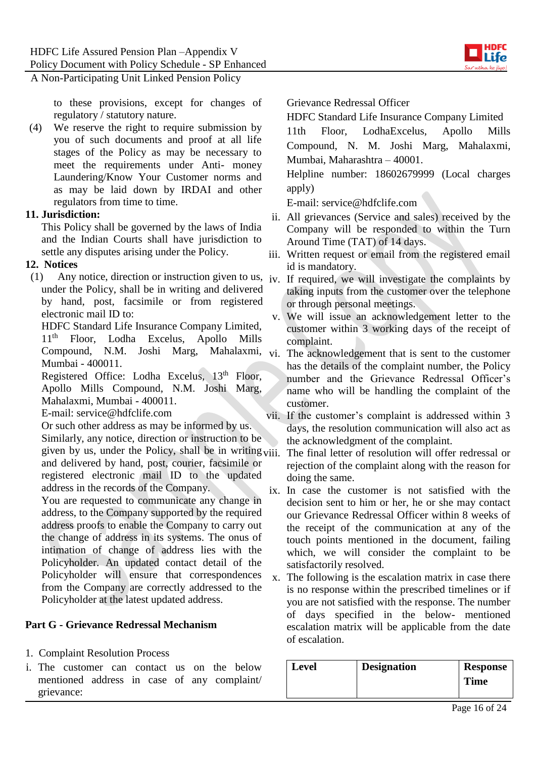

to these provisions, except for changes of regulatory / statutory nature.

(4) We reserve the right to require submission by you of such documents and proof at all life stages of the Policy as may be necessary to meet the requirements under Anti- money Laundering/Know Your Customer norms and as may be laid down by IRDAI and other regulators from time to time.

#### **11. Jurisdiction:**

This Policy shall be governed by the laws of India and the Indian Courts shall have jurisdiction to settle any disputes arising under the Policy.

#### **12. Notices**

(1) Any notice, direction or instruction given to us, iv. If required, we will investigate the complaints by under the Policy, shall be in writing and delivered by hand, post, facsimile or from registered electronic mail ID to:

HDFC Standard Life Insurance Company Limited, 11th Floor, Lodha Excelus, Apollo Mills Compound, N.M. Joshi Marg, Mahalaxmi, Mumbai - 400011.

Registered Office: Lodha Excelus, 13<sup>th</sup> Floor, Apollo Mills Compound, N.M. Joshi Marg, Mahalaxmi, Mumbai - 400011.

E-mail: service@hdfclife.com

Or such other address as may be informed by us. Similarly, any notice, direction or instruction to be given by us, under the Policy, shall be in writing  $v_{ij}$ and delivered by hand, post, courier, facsimile or registered electronic mail ID to the updated address in the records of the Company.

You are requested to communicate any change in address, to the Company supported by the required address proofs to enable the Company to carry out the change of address in its systems. The onus of intimation of change of address lies with the Policyholder. An updated contact detail of the Policyholder will ensure that correspondences from the Company are correctly addressed to the Policyholder at the latest updated address.

## **Part G - Grievance Redressal Mechanism**

- 1. Complaint Resolution Process
- i. The customer can contact us on the below mentioned address in case of any complaint/ grievance:

Grievance Redressal Officer

HDFC Standard Life Insurance Company Limited

11th Floor, LodhaExcelus, Apollo Mills Compound, N. M. Joshi Marg, Mahalaxmi, Mumbai, Maharashtra – 40001.

Helpline number: 18602679999 (Local charges apply)

E-mail: service@hdfclife.com

- ii. All grievances (Service and sales) received by the Company will be responded to within the Turn Around Time (TAT) of 14 days.
- iii. Written request or email from the registered email id is mandatory.
- taking inputs from the customer over the telephone or through personal meetings.
- v. We will issue an acknowledgement letter to the customer within 3 working days of the receipt of complaint.
- The acknowledgement that is sent to the customer has the details of the complaint number, the Policy number and the Grievance Redressal Officer's name who will be handling the complaint of the customer.
- vii. If the customer's complaint is addressed within 3 days, the resolution communication will also act as the acknowledgment of the complaint.
	- The final letter of resolution will offer redressal or rejection of the complaint along with the reason for doing the same.
- ix. In case the customer is not satisfied with the decision sent to him or her, he or she may contact our Grievance Redressal Officer within 8 weeks of the receipt of the communication at any of the touch points mentioned in the document, failing which, we will consider the complaint to be satisfactorily resolved.
- x. The following is the escalation matrix in case there is no response within the prescribed timelines or if you are not satisfied with the response. The number of days specified in the below- mentioned escalation matrix will be applicable from the date of escalation.

| <b>Level</b> | <b>Designation</b> | <b>Response</b> |
|--------------|--------------------|-----------------|
|              |                    | <b>Time</b>     |
|              |                    |                 |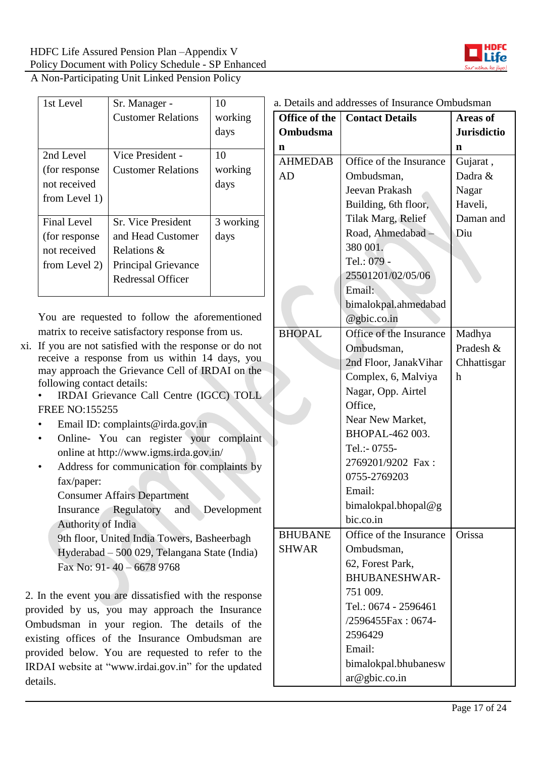

| 1st Level          | Sr. Manager -              | 10        |
|--------------------|----------------------------|-----------|
|                    | <b>Customer Relations</b>  | working   |
|                    |                            | days      |
|                    |                            |           |
| 2nd Level          | Vice President -           | 10        |
| (for response)     | <b>Customer Relations</b>  | working   |
| not received       |                            | days      |
| from Level 1)      |                            |           |
| <b>Final Level</b> | <b>Sr.</b> Vice President  | 3 working |
| (for response)     | and Head Customer          | days      |
| not received       | Relations &                |           |
| from Level 2)      | <b>Principal Grievance</b> |           |
|                    | Redressal Officer          |           |
|                    |                            |           |

You are requested to follow the aforementioned matrix to receive satisfactory response from us.

xi. If you are not satisfied with the response or do not receive a response from us within 14 days, you may approach the Grievance Cell of IRDAI on the following contact details:

• IRDAI Grievance Call Centre (IGCC) TOLL FREE NO:155255

- Email ID: complaints@irda.gov.in
- Online- You can register your complaint online at http://www.igms.irda.gov.in/
- Address for communication for complaints by fax/paper:
	- Consumer Affairs Department
	- Insurance Regulatory and Development Authority of India

9th floor, United India Towers, Basheerbagh Hyderabad – 500 029, Telangana State (India) Fax No: 91- 40 – 6678 9768

2. In the event you are dissatisfied with the response provided by us, you may approach the Insurance Ombudsman in your region. The details of the existing offices of the Insurance Ombudsman are provided below. You are requested to refer to the IRDAI website at "www.irdai.gov.in" for the updated details.

| Office of the  | <b>Contact Details</b>  | <b>Areas of</b>    |
|----------------|-------------------------|--------------------|
| Ombudsma       |                         | <b>Jurisdictio</b> |
| n              |                         | n                  |
| <b>AHMEDAB</b> | Office of the Insurance | Gujarat,           |
| AD             | Ombudsman,              | Dadra &            |
|                | Jeevan Prakash          | Nagar              |
|                | Building, 6th floor,    | Haveli,            |
|                | Tilak Marg, Relief      | Daman and          |
|                | Road, Ahmedabad -       | Diu                |
|                | 380 001.                |                    |
|                | Tel.: 079 -             |                    |
|                | 25501201/02/05/06       |                    |
|                | Email:                  |                    |
|                | bimalokpal.ahmedabad    |                    |
|                | $@$ gbic.co.in          |                    |
| <b>BHOPAL</b>  | Office of the Insurance | Madhya             |
|                | Ombudsman,              | Pradesh &          |
|                | 2nd Floor, Janak Vihar  | Chhattisgar        |
|                | Complex, 6, Malviya     | h                  |
|                | Nagar, Opp. Airtel      |                    |
|                | Office,                 |                    |
|                | Near New Market,        |                    |
|                | BHOPAL-462 003.         |                    |
|                | Tel.:- 0755-            |                    |
|                | 2769201/9202 Fax:       |                    |
|                | 0755-2769203            |                    |
|                | Email:                  |                    |
|                | bimalokpal.bhopal@g     |                    |
|                | bic.co.in               |                    |
| <b>BHUBANE</b> | Office of the Insurance | Orissa             |
| <b>SHWAR</b>   | Ombudsman,              |                    |
|                | 62, Forest Park,        |                    |
|                | <b>BHUBANESHWAR-</b>    |                    |
|                | 751 009.                |                    |
|                | Tel.: 0674 - 2596461    |                    |
|                | /2596455Fax: 0674-      |                    |
|                | 2596429                 |                    |
|                | Email:                  |                    |
|                | bimalokpal.bhubanesw    |                    |
|                | ar@gbic.co.in           |                    |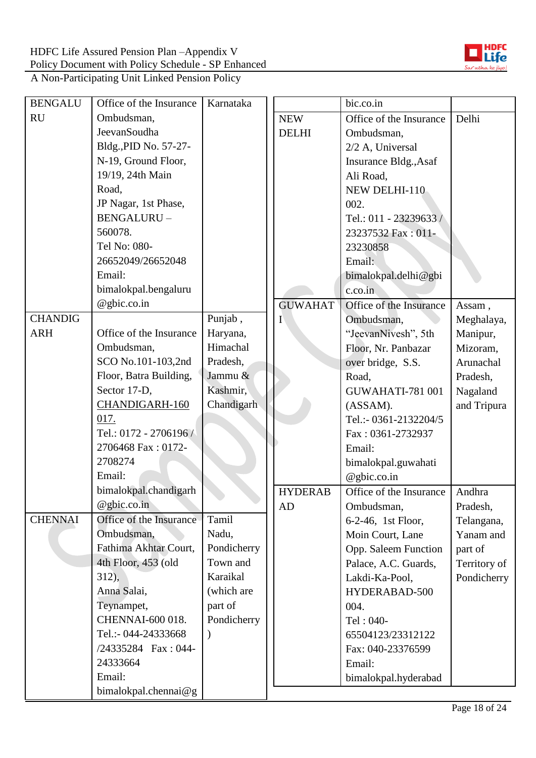

| <b>BENGALU</b> | Office of the Insurance | Karnataka   |                | bic.co.in               |              |
|----------------|-------------------------|-------------|----------------|-------------------------|--------------|
| <b>RU</b>      | Ombudsman,              |             | <b>NEW</b>     | Office of the Insurance | Delhi        |
|                | JeevanSoudha            |             | <b>DELHI</b>   | Ombudsman,              |              |
|                | Bldg., PID No. 57-27-   |             |                | 2/2 A, Universal        |              |
|                | N-19, Ground Floor,     |             |                | Insurance Bldg., Asaf   |              |
|                | 19/19, 24th Main        |             |                | Ali Road,               |              |
|                | Road,                   |             |                | NEW DELHI-110           |              |
|                | JP Nagar, 1st Phase,    |             |                | 002.                    |              |
|                | BENGALURU-              |             |                | Tel.: 011 - 23239633 /  |              |
|                | 560078.                 |             |                | 23237532 Fax: 011-      |              |
|                | Tel No: 080-            |             |                | 23230858                |              |
|                | 26652049/26652048       |             |                | Email:                  |              |
|                | Email:                  |             |                | bimalokpal.delhi@gbi    |              |
|                | bimalokpal.bengaluru    |             |                | c.co.in                 |              |
|                | @gbic.co.in             |             | <b>GUWAHAT</b> | Office of the Insurance | Assam,       |
| <b>CHANDIG</b> |                         | Punjab,     | Ι              | Ombudsman,              | Meghalaya,   |
| <b>ARH</b>     | Office of the Insurance | Haryana,    |                | "JeevanNivesh", 5th     | Manipur,     |
|                | Ombudsman,              | Himachal    |                | Floor, Nr. Panbazar     | Mizoram,     |
|                | SCO No.101-103,2nd      | Pradesh,    |                | over bridge, S.S.       | Arunachal    |
|                | Floor, Batra Building,  | Jammu &     |                | Road,                   | Pradesh,     |
|                | Sector 17-D,            | Kashmir,    |                | GUWAHATI-781 001        | Nagaland     |
|                | CHANDIGARH-160          | Chandigarh  |                | (ASSAM).                | and Tripura  |
|                | 017.                    |             |                | Tel.:- 0361-2132204/5   |              |
|                | Tel.: 0172 - 2706196    |             |                | Fax: 0361-2732937       |              |
|                | 2706468 Fax: 0172-      |             |                | Email:                  |              |
|                | 2708274                 |             |                | bimalokpal.guwahati     |              |
|                | Email:                  |             |                | @gbic.co.in             |              |
|                | bimalokpal.chandigarh   |             | <b>HYDERAB</b> | Office of the Insurance | Andhra       |
|                | $@$ gbic.co.in          |             | AD             | Ombudsman,              | Pradesh,     |
| <b>CHENNAI</b> | Office of the Insurance | Tamil       |                | 6-2-46, 1st Floor,      | Telangana,   |
|                | Ombudsman,              | Nadu,       |                | Moin Court, Lane        | Yanam and    |
|                | Fathima Akhtar Court,   | Pondicherry |                | Opp. Saleem Function    | part of      |
|                | 4th Floor, 453 (old     | Town and    |                | Palace, A.C. Guards,    | Territory of |
|                | $312$ ,                 | Karaikal    |                | Lakdi-Ka-Pool,          | Pondicherry  |
|                | Anna Salai,             | (which are  |                | HYDERABAD-500           |              |
|                | Teynampet,              | part of     |                | 004.                    |              |
|                | CHENNAI-600 018.        | Pondicherry |                | Tel: 040-               |              |
|                | Tel.:- 044-24333668     |             |                | 65504123/23312122       |              |
|                | /24335284 Fax: 044-     |             |                | Fax: 040-23376599       |              |
|                | 24333664                |             |                | Email:                  |              |
|                | Email:                  |             |                | bimalokpal.hyderabad    |              |
|                | bimalokpal.chennai@g    |             |                |                         |              |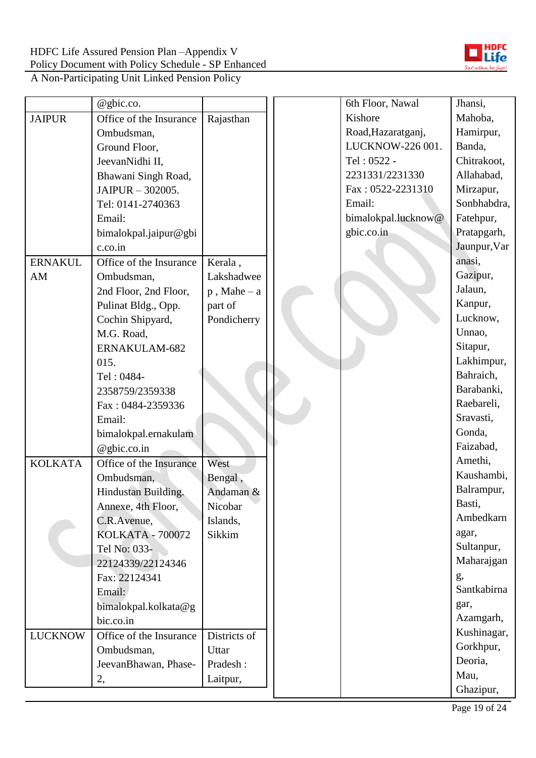

|                | @gbic.co.               |                |  | 6th Floor, Nawal    | Jhansi,      |
|----------------|-------------------------|----------------|--|---------------------|--------------|
| <b>JAIPUR</b>  | Office of the Insurance | Rajasthan      |  | Kishore             | Mahoba,      |
|                | Ombudsman,              |                |  | Road, Hazaratganj,  | Hamirpur,    |
|                | Ground Floor,           |                |  | LUCKNOW-226 001.    | Banda,       |
|                | JeevanNidhi II.         |                |  | Tel: 0522 -         | Chitrakoot,  |
|                | Bhawani Singh Road,     |                |  | 2231331/2231330     | Allahabad,   |
|                | JAIPUR - 302005.        |                |  | Fax: 0522-2231310   | Mirzapur,    |
|                | Tel: 0141-2740363       |                |  | Email:              | Sonbhabdra,  |
|                | Email:                  |                |  | bimalokpal.lucknow@ | Fatehpur,    |
|                | bimalokpal.jaipur@gbi   |                |  | gbic.co.in          | Pratapgarh,  |
|                | c.co.in                 |                |  |                     | Jaunpur, Var |
| <b>ERNAKUL</b> | Office of the Insurance | Kerala,        |  |                     | anasi,       |
| AM             | Ombudsman,              | Lakshadwee     |  |                     | Gazipur,     |
|                | 2nd Floor, 2nd Floor,   | $p$ , Mahe – a |  |                     | Jalaun,      |
|                | Pulinat Bldg., Opp.     | part of        |  |                     | Kanpur,      |
|                | Cochin Shipyard,        | Pondicherry    |  |                     | Lucknow,     |
|                | M.G. Road,              |                |  |                     | Unnao,       |
|                | ERNAKULAM-682           |                |  |                     | Sitapur,     |
|                | 015.                    |                |  |                     | Lakhimpur,   |
|                | Tel: 0484-              |                |  |                     | Bahraich,    |
|                | 2358759/2359338         |                |  |                     | Barabanki,   |
|                | Fax: 0484-2359336       |                |  |                     | Raebareli,   |
|                | Email:                  |                |  |                     | Sravasti,    |
|                | bimalokpal.ernakulam    |                |  |                     | Gonda,       |
|                | @gbic.co.in             |                |  |                     | Faizabad,    |
| <b>KOLKATA</b> | Office of the Insurance | West           |  |                     | Amethi,      |
|                | Ombudsman,              | Bengal,        |  |                     | Kaushambi,   |
|                | Hindustan Building.     | Andaman &      |  |                     | Balrampur,   |
|                | Annexe, 4th Floor,      | Nicobar        |  |                     | Basti,       |
|                | C.R.Avenue,             | Islands,       |  |                     | Ambedkarn    |
|                | <b>KOLKATA - 700072</b> | Sikkim         |  |                     | agar,        |
|                | Tel No: 033-            |                |  |                     | Sultanpur,   |
|                | 22124339/22124346       |                |  |                     | Maharajgan   |
|                | Fax: 22124341           |                |  |                     | g,           |
|                | Email:                  |                |  |                     | Santkabirna  |
|                | bimalokpal.kolkata@g    |                |  |                     | gar,         |
|                | bic.co.in               |                |  |                     | Azamgarh,    |
| <b>LUCKNOW</b> | Office of the Insurance | Districts of   |  |                     | Kushinagar,  |
|                | Ombudsman,              | Uttar          |  |                     | Gorkhpur,    |
|                | JeevanBhawan, Phase-    | Pradesh:       |  |                     | Deoria,      |
|                | 2,                      | Laitpur,       |  |                     | Mau,         |
|                |                         |                |  |                     | Ghazipur,    |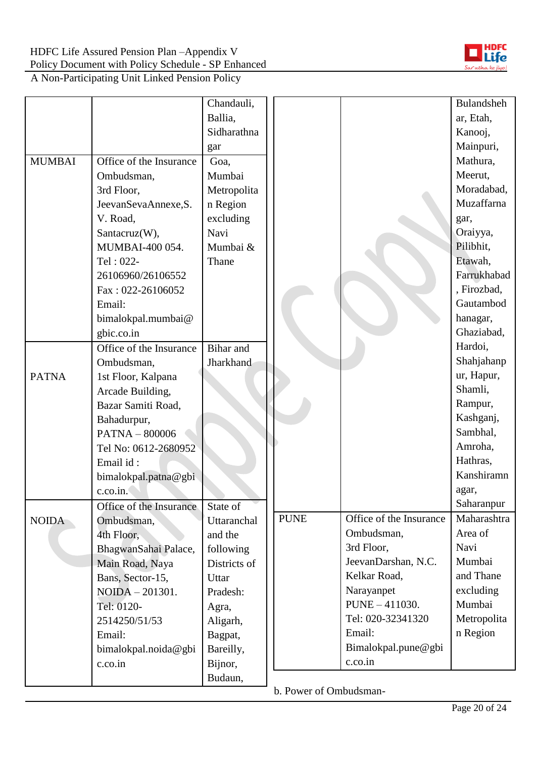

|               |                         | Chandauli,   |             |                         | <b>Bulandsheh</b> |
|---------------|-------------------------|--------------|-------------|-------------------------|-------------------|
|               |                         | Ballia,      |             |                         | ar, Etah,         |
|               |                         | Sidharathna  |             |                         | Kanooj,           |
|               |                         | gar          |             |                         | Mainpuri,         |
| <b>MUMBAI</b> | Office of the Insurance | Goa,         |             |                         | Mathura,          |
|               | Ombudsman,              | Mumbai       |             |                         | Meerut,           |
|               | 3rd Floor,              | Metropolita  |             |                         | Moradabad,        |
|               | JeevanSevaAnnexe, S.    | n Region     |             |                         | Muzaffarna        |
|               | V. Road,                | excluding    |             |                         | gar,              |
|               | Santacruz(W),           | Navi         |             |                         | Oraiyya,          |
|               | MUMBAI-400 054.         | Mumbai &     |             |                         | Pilibhit,         |
|               | Tel: 022-               | Thane        |             |                         | Etawah,           |
|               | 26106960/26106552       |              |             |                         | Farrukhabad       |
|               | Fax: 022-26106052       |              |             |                         | , Firozbad,       |
|               | Email:                  |              |             |                         | Gautambod         |
|               | bimalokpal.mumbai@      |              |             |                         | hanagar,          |
|               | gbic.co.in              |              |             |                         | Ghaziabad,        |
|               | Office of the Insurance | Bihar and    |             |                         | Hardoi,           |
|               | Ombudsman,              | Jharkhand    |             |                         | Shahjahanp        |
| <b>PATNA</b>  | 1st Floor, Kalpana      |              |             |                         | ur, Hapur,        |
|               | Arcade Building,        |              |             |                         | Shamli,           |
|               | Bazar Samiti Road,      |              |             |                         | Rampur,           |
|               | Bahadurpur,             |              |             |                         | Kashganj,         |
|               | <b>PATNA - 800006</b>   |              |             |                         | Sambhal,          |
|               | Tel No: 0612-2680952    |              |             |                         | Amroha,           |
|               | Email id:               |              |             |                         | Hathras,          |
|               | bimalokpal.patna@gbi    |              |             |                         | Kanshiramn        |
|               | c.co.in.                |              |             |                         | agar,             |
|               | Office of the Insurance | State of     |             |                         | Saharanpur        |
| <b>NOIDA</b>  | Ombudsman,              | Uttaranchal  | <b>PUNE</b> | Office of the Insurance | Maharashtra       |
|               | 4th Floor,              | and the      |             | Ombudsman,              | Area of           |
|               | BhagwanSahai Palace,    | following    |             | 3rd Floor,              | Navi              |
|               | Main Road, Naya         | Districts of |             | JeevanDarshan, N.C.     | Mumbai            |
|               | Bans, Sector-15,        | Uttar        |             | Kelkar Road,            | and Thane         |
|               | NOIDA - 201301.         | Pradesh:     |             | Narayanpet              | excluding         |
|               | Tel: 0120-              | Agra,        |             | PUNE - 411030.          | Mumbai            |
|               | 2514250/51/53           | Aligarh,     |             | Tel: 020-32341320       | Metropolita       |
|               | Email:                  | Bagpat,      |             | Email:                  | n Region          |
|               | bimalokpal.noida@gbi    | Bareilly,    |             | Bimalokpal.pune@gbi     |                   |
|               | c.co.in                 | Bijnor,      |             | c.co.in                 |                   |
|               |                         | Budaun,      |             |                         |                   |

b. Power of Ombudsman-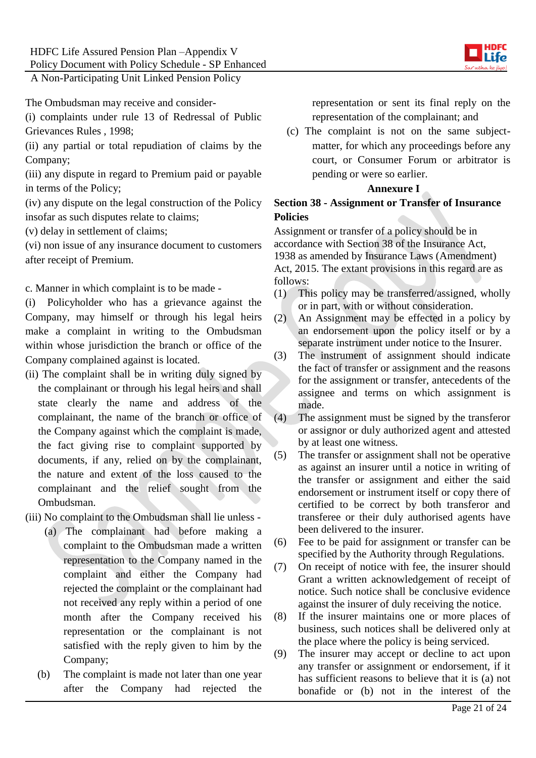

The Ombudsman may receive and consider-

(i) complaints under rule 13 of Redressal of Public Grievances Rules , 1998;

(ii) any partial or total repudiation of claims by the Company;

(iii) any dispute in regard to Premium paid or payable in terms of the Policy;

(iv) any dispute on the legal construction of the Policy insofar as such disputes relate to claims;

(v) delay in settlement of claims;

(vi) non issue of any insurance document to customers after receipt of Premium.

c. Manner in which complaint is to be made -

(i) Policyholder who has a grievance against the Company, may himself or through his legal heirs make a complaint in writing to the Ombudsman within whose jurisdiction the branch or office of the Company complained against is located.

(ii) The complaint shall be in writing duly signed by the complainant or through his legal heirs and shall state clearly the name and address of the complainant, the name of the branch or office of the Company against which the complaint is made, the fact giving rise to complaint supported by documents, if any, relied on by the complainant, the nature and extent of the loss caused to the complainant and the relief sought from the Ombudsman.

- (iii) No complaint to the Ombudsman shall lie unless
	- (a) The complainant had before making a complaint to the Ombudsman made a written representation to the Company named in the complaint and either the Company had rejected the complaint or the complainant had not received any reply within a period of one month after the Company received his representation or the complainant is not satisfied with the reply given to him by the Company;
	- (b) The complaint is made not later than one year after the Company had rejected the

representation or sent its final reply on the representation of the complainant; and

(c) The complaint is not on the same subjectmatter, for which any proceedings before any court, or Consumer Forum or arbitrator is pending or were so earlier.

#### **Annexure I**

#### **Section 38 - Assignment or Transfer of Insurance Policies**

Assignment or transfer of a policy should be in accordance with Section 38 of the Insurance Act, 1938 as amended by Insurance Laws (Amendment) Act, 2015. The extant provisions in this regard are as follows:

- (1) This policy may be transferred/assigned, wholly or in part, with or without consideration.
- (2) An Assignment may be effected in a policy by an endorsement upon the policy itself or by a separate instrument under notice to the Insurer.
- (3) The instrument of assignment should indicate the fact of transfer or assignment and the reasons for the assignment or transfer, antecedents of the assignee and terms on which assignment is made.
- (4) The assignment must be signed by the transferor or assignor or duly authorized agent and attested by at least one witness.
- (5) The transfer or assignment shall not be operative as against an insurer until a notice in writing of the transfer or assignment and either the said endorsement or instrument itself or copy there of certified to be correct by both transferor and transferee or their duly authorised agents have been delivered to the insurer.
- (6) Fee to be paid for assignment or transfer can be specified by the Authority through Regulations.
- (7) On receipt of notice with fee, the insurer should Grant a written acknowledgement of receipt of notice. Such notice shall be conclusive evidence against the insurer of duly receiving the notice.
- (8) If the insurer maintains one or more places of business, such notices shall be delivered only at the place where the policy is being serviced.
- (9) The insurer may accept or decline to act upon any transfer or assignment or endorsement, if it has sufficient reasons to believe that it is (a) not bonafide or (b) not in the interest of the

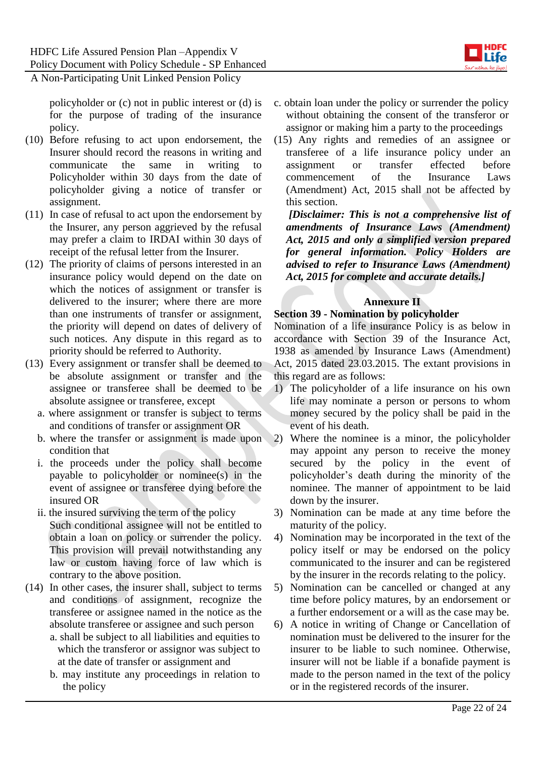

policyholder or (c) not in public interest or (d) is for the purpose of trading of the insurance policy.

- (10) Before refusing to act upon endorsement, the Insurer should record the reasons in writing and communicate the same in writing to Policyholder within 30 days from the date of policyholder giving a notice of transfer or assignment.
- (11) In case of refusal to act upon the endorsement by the Insurer, any person aggrieved by the refusal may prefer a claim to IRDAI within 30 days of receipt of the refusal letter from the Insurer.
- (12) The priority of claims of persons interested in an insurance policy would depend on the date on which the notices of assignment or transfer is delivered to the insurer; where there are more than one instruments of transfer or assignment, the priority will depend on dates of delivery of such notices. Any dispute in this regard as to priority should be referred to Authority.
- (13) Every assignment or transfer shall be deemed to be absolute assignment or transfer and the assignee or transferee shall be deemed to be absolute assignee or transferee, except
	- a. where assignment or transfer is subject to terms and conditions of transfer or assignment OR
	- b. where the transfer or assignment is made upon condition that
	- i. the proceeds under the policy shall become payable to policyholder or nominee(s) in the event of assignee or transferee dying before the insured OR
	- ii. the insured surviving the term of the policy Such conditional assignee will not be entitled to obtain a loan on policy or surrender the policy. This provision will prevail notwithstanding any law or custom having force of law which is contrary to the above position.
- (14) In other cases, the insurer shall, subject to terms and conditions of assignment, recognize the transferee or assignee named in the notice as the absolute transferee or assignee and such person
	- a. shall be subject to all liabilities and equities to which the transferor or assignor was subject to at the date of transfer or assignment and
	- b. may institute any proceedings in relation to the policy
- c. obtain loan under the policy or surrender the policy without obtaining the consent of the transferor or assignor or making him a party to the proceedings
- (15) Any rights and remedies of an assignee or transferee of a life insurance policy under an assignment or transfer effected before commencement of the Insurance Laws (Amendment) Act, 2015 shall not be affected by this section.

*[Disclaimer: This is not a comprehensive list of amendments of Insurance Laws (Amendment) Act, 2015 and only a simplified version prepared for general information. Policy Holders are advised to refer to Insurance Laws (Amendment) Act, 2015 for complete and accurate details.]*

## **Annexure II**

#### **Section 39 - Nomination by policyholder**

Nomination of a life insurance Policy is as below in accordance with Section 39 of the Insurance Act, 1938 as amended by Insurance Laws (Amendment) Act, 2015 dated 23.03.2015. The extant provisions in this regard are as follows:

- 1) The policyholder of a life insurance on his own life may nominate a person or persons to whom money secured by the policy shall be paid in the event of his death.
- 2) Where the nominee is a minor, the policyholder may appoint any person to receive the money secured by the policy in the event of policyholder's death during the minority of the nominee. The manner of appointment to be laid down by the insurer.
- 3) Nomination can be made at any time before the maturity of the policy.
- 4) Nomination may be incorporated in the text of the policy itself or may be endorsed on the policy communicated to the insurer and can be registered by the insurer in the records relating to the policy.
- 5) Nomination can be cancelled or changed at any time before policy matures, by an endorsement or a further endorsement or a will as the case may be.
- 6) A notice in writing of Change or Cancellation of nomination must be delivered to the insurer for the insurer to be liable to such nominee. Otherwise, insurer will not be liable if a bonafide payment is made to the person named in the text of the policy or in the registered records of the insurer.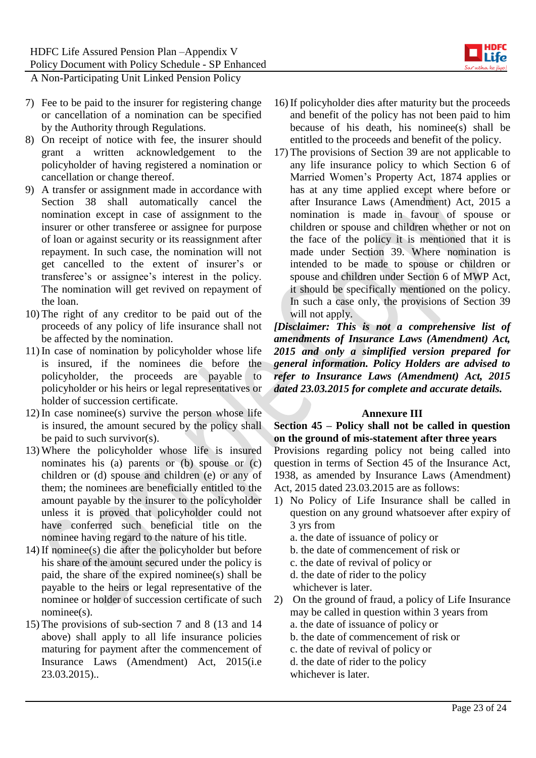

- 7) Fee to be paid to the insurer for registering change or cancellation of a nomination can be specified by the Authority through Regulations.
- 8) On receipt of notice with fee, the insurer should grant a written acknowledgement to the policyholder of having registered a nomination or cancellation or change thereof.
- 9) A transfer or assignment made in accordance with Section 38 shall automatically cancel the nomination except in case of assignment to the insurer or other transferee or assignee for purpose of loan or against security or its reassignment after repayment. In such case, the nomination will not get cancelled to the extent of insurer's or transferee's or assignee's interest in the policy. The nomination will get revived on repayment of the loan.
- 10) The right of any creditor to be paid out of the proceeds of any policy of life insurance shall not be affected by the nomination.
- 11) In case of nomination by policyholder whose life is insured, if the nominees die before the policyholder, the proceeds are payable to policyholder or his heirs or legal representatives or holder of succession certificate.
- 12) In case nominee(s) survive the person whose life is insured, the amount secured by the policy shall be paid to such survivor(s).
- 13) Where the policyholder whose life is insured nominates his (a) parents or (b) spouse or (c) children or (d) spouse and children (e) or any of them; the nominees are beneficially entitled to the amount payable by the insurer to the policyholder unless it is proved that policyholder could not have conferred such beneficial title on the nominee having regard to the nature of his title.
- 14) If nominee(s) die after the policyholder but before his share of the amount secured under the policy is paid, the share of the expired nominee(s) shall be payable to the heirs or legal representative of the nominee or holder of succession certificate of such nominee(s).
- 15) The provisions of sub-section 7 and 8 (13 and 14 above) shall apply to all life insurance policies maturing for payment after the commencement of Insurance Laws (Amendment) Act, 2015(i.e 23.03.2015)..
- 16) If policyholder dies after maturity but the proceeds and benefit of the policy has not been paid to him because of his death, his nominee(s) shall be entitled to the proceeds and benefit of the policy.
- 17) The provisions of Section 39 are not applicable to any life insurance policy to which Section 6 of Married Women's Property Act, 1874 applies or has at any time applied except where before or after Insurance Laws (Amendment) Act, 2015 a nomination is made in favour of spouse or children or spouse and children whether or not on the face of the policy it is mentioned that it is made under Section 39. Where nomination is intended to be made to spouse or children or spouse and children under Section 6 of MWP Act, it should be specifically mentioned on the policy. In such a case only, the provisions of Section 39 will not apply.

*[Disclaimer: This is not a comprehensive list of amendments of Insurance Laws (Amendment) Act, 2015 and only a simplified version prepared for general information. Policy Holders are advised to refer to Insurance Laws (Amendment) Act, 2015 dated 23.03.2015 for complete and accurate details.*

#### **Annexure III**

**Section 45 – Policy shall not be called in question on the ground of mis-statement after three years**

Provisions regarding policy not being called into question in terms of Section 45 of the Insurance Act, 1938, as amended by Insurance Laws (Amendment) Act, 2015 dated 23.03.2015 are as follows:

- 1) No Policy of Life Insurance shall be called in question on any ground whatsoever after expiry of 3 yrs from
	- a. the date of issuance of policy or
	- b. the date of commencement of risk or
	- c. the date of revival of policy or
	- d. the date of rider to the policy
	- whichever is later.
- 2) On the ground of fraud, a policy of Life Insurance may be called in question within 3 years from
	- a. the date of issuance of policy or
	- b. the date of commencement of risk or
	- c. the date of revival of policy or
	- d. the date of rider to the policy
	- whichever is later.